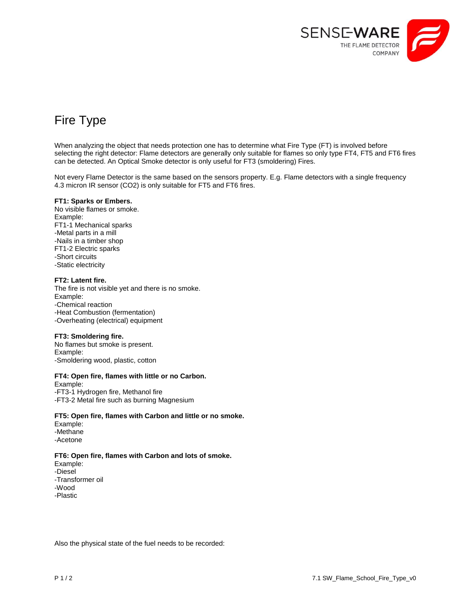

# Fire Type

When analyzing the object that needs protection one has to determine what Fire Type (FT) is involved before selecting the right detector: Flame detectors are generally only suitable for flames so only type FT4, FT5 and FT6 fires can be detected. An Optical Smoke detector is only useful for FT3 (smoldering) Fires.

Not every Flame Detector is the same based on the sensors property. E.g. Flame detectors with a single frequency 4.3 micron IR sensor (CO2) is only suitable for FT5 and FT6 fires.

#### **FT1: Sparks or Embers.**

No visible flames or smoke. Example: FT1-1 Mechanical sparks -Metal parts in a mill -Nails in a timber shop FT1-2 Electric sparks -Short circuits -Static electricity

## **FT2: Latent fire.**

The fire is not visible yet and there is no smoke. Example: -Chemical reaction -Heat Combustion (fermentation) -Overheating (electrical) equipment

# **FT3: Smoldering fire.**

No flames but smoke is present. Example: -Smoldering wood, plastic, cotton

## **FT4: Open fire, flames with little or no Carbon.**

Example: -FT3-1 Hydrogen fire, Methanol fire -FT3-2 Metal fire such as burning Magnesium

#### **FT5: Open fire, flames with Carbon and little or no smoke.**

Example: -Methane -Acetone

# **FT6: Open fire, flames with Carbon and lots of smoke.**

Example: -Diesel -Transformer oil -Wood -Plastic

Also the physical state of the fuel needs to be recorded: